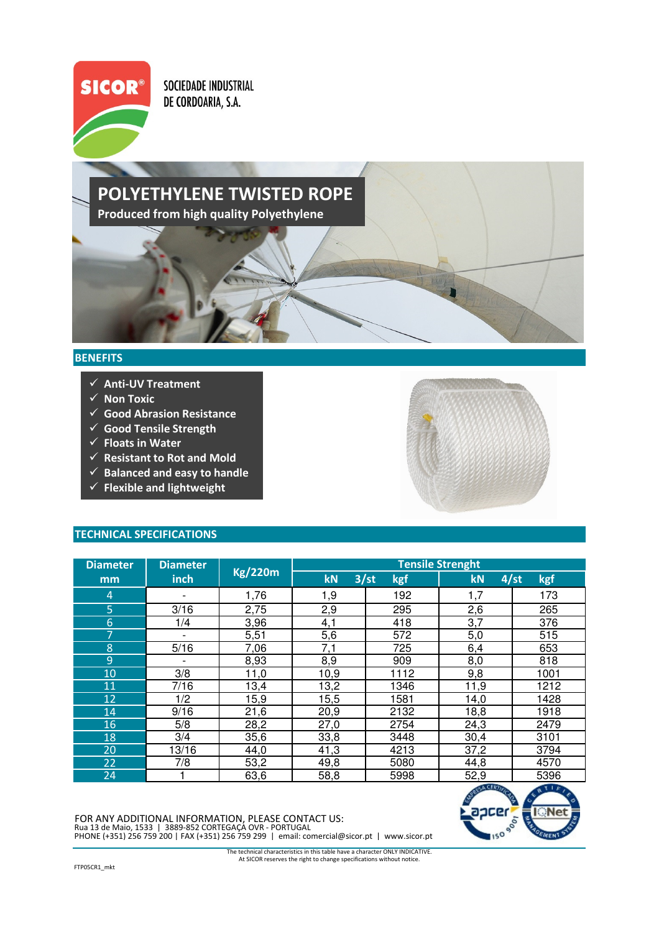

**SOCIEDADE INDUSTRIAL** DE CORDOARIA, S.A.

## POLYETHYLENE TWISTED ROPE Produced from high quality Polyethylene

## **BENEFITS**

- $\checkmark$  Anti-UV Treatment
- $\checkmark$  Non Toxic
- $\checkmark$  Good Abrasion Resistance
- $\checkmark$  Good Tensile Strength
- $\checkmark$  Floats in Water
- $\checkmark$  Resistant to Rot and Mold
- $\checkmark$  Balanced and easy to handle
- $\checkmark$  Flexible and lightweight



| <b>Diameter</b> | <b>Diameter</b>          |                | <b>Tensile Strenght</b> |             |            |      |  |
|-----------------|--------------------------|----------------|-------------------------|-------------|------------|------|--|
| mm              | <b>inch</b>              | <b>Kg/220m</b> | kN                      | 3/st<br>kgf | 4/st<br>kN | kgf  |  |
| 4               |                          | 1,76           | 1,9                     | 192         | 1,7        | 173  |  |
| 5               | 3/16                     | 2,75           | 2,9                     | 295         | 2,6        | 265  |  |
| 6               | 1/4                      | 3,96           | 4,1                     | 418         | 3,7        | 376  |  |
| 7               | $\overline{\phantom{0}}$ | 5,51           | 5,6                     | 572         | 5,0        | 515  |  |
| 8               | 5/16                     | 7,06           | 7,1                     | 725         | 6,4        | 653  |  |
| 9               |                          | 8,93           | 8,9                     | 909         | 8,0        | 818  |  |
| 10              | 3/8                      | 11,0           | 10,9                    | 1112        | 9,8        | 1001 |  |
| 11              | 7/16                     | 13,4           | 13,2                    | 1346        | 11,9       | 1212 |  |
| 12              | 1/2                      | 15,9           | 15,5                    | 1581        | 14,0       | 1428 |  |
| 14              | 9/16                     | 21,6           | 20,9                    | 2132        | 18,8       | 1918 |  |
| 16              | 5/8                      | 28,2           | 27,0                    | 2754        | 24,3       | 2479 |  |
| 18              | 3/4                      | 35,6           | 33,8                    | 3448        | 30,4       | 3101 |  |
| 20              | 13/16                    | 44,0           | 41,3                    | 4213        | 37,2       | 3794 |  |
| 22              | 7/8                      | 53,2           | 49,8                    | 5080        | 44,8       | 4570 |  |
| 24              |                          | 63,6           | 58,8                    | 5998        | 52,9       | 5396 |  |

PHONE (+351) 256 759 200 | FAX (+351) 256 759 299 | email: comercial@sicor.pt | www.sicor.pt FOR ANY ADDITIONAL INFORMATION, PLEASE CONTACT US: Rua 13 de Maio, 1533 | 3889-852 CORTEGAÇA OVR - PORTUGAL



At SICOR reserves the right to change specifications without notice. The technical characteristics in this table have a character ONLY INDICATIVE.